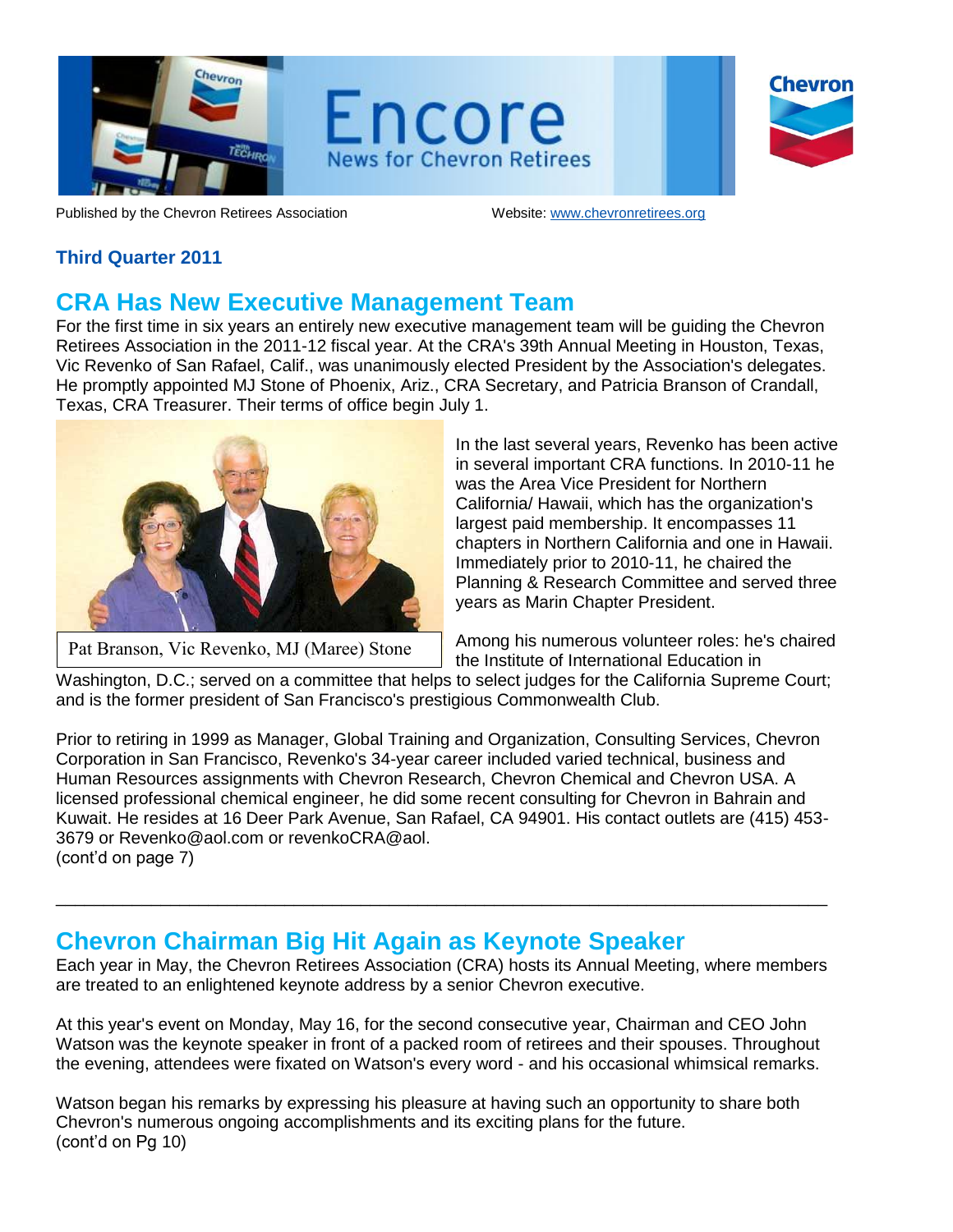

Chevron

Published by the Chevron Retirees Association Website: www.chevronretirees.org

## **Third Quarter 2011**

## **CRA Has New Executive Management Team**

For the first time in six years an entirely new executive management team will be guiding the Chevron Retirees Association in the 2011-12 fiscal year. At the CRA's 39th Annual Meeting in Houston, Texas, Vic Revenko of San Rafael, Calif., was unanimously elected President by the Association's delegates. He promptly appointed MJ Stone of Phoenix, Ariz., CRA Secretary, and Patricia Branson of Crandall, Texas, CRA Treasurer. Their terms of office begin July 1.



Pat Branson, Vic Revenko, MJ (Maree) Stone

In the last several years, Revenko has been active in several important CRA functions. In 2010-11 he was the Area Vice President for Northern California/ Hawaii, which has the organization's largest paid membership. It encompasses 11 chapters in Northern California and one in Hawaii. Immediately prior to 2010-11, he chaired the Planning & Research Committee and served three years as Marin Chapter President.

Among his numerous volunteer roles: he's chaired the Institute of International Education in

Washington, D.C.; served on a committee that helps to select judges for the California Supreme Court; and is the former president of San Francisco's prestigious Commonwealth Club.

Prior to retiring in 1999 as Manager, Global Training and Organization, Consulting Services, Chevron Corporation in San Francisco, Revenko's 34-year career included varied technical, business and Human Resources assignments with Chevron Research, Chevron Chemical and Chevron USA. A licensed professional chemical engineer, he did some recent consulting for Chevron in Bahrain and Kuwait. He resides at 16 Deer Park Avenue, San Rafael, CA 94901. His contact outlets are (415) 453- 3679 or Revenko@aol.com or revenkoCRA@aol. (cont'd on page 7)

# **Chevron Chairman Big Hit Again as Keynote Speaker**

Each year in May, the Chevron Retirees Association (CRA) hosts its Annual Meeting, where members are treated to an enlightened keynote address by a senior Chevron executive.

\_\_\_\_\_\_\_\_\_\_\_\_\_\_\_\_\_\_\_\_\_\_\_\_\_\_\_\_\_\_\_\_\_\_\_\_\_\_\_\_\_\_\_\_\_\_\_\_\_\_\_\_\_\_\_\_\_\_\_\_\_\_\_\_\_\_\_\_\_\_\_\_\_\_\_\_\_\_\_\_\_

At this year's event on Monday, May 16, for the second consecutive year, Chairman and CEO John Watson was the keynote speaker in front of a packed room of retirees and their spouses. Throughout the evening, attendees were fixated on Watson's every word - and his occasional whimsical remarks.

Watson began his remarks by expressing his pleasure at having such an opportunity to share both Chevron's numerous ongoing accomplishments and its exciting plans for the future. (cont'd on Pg 10)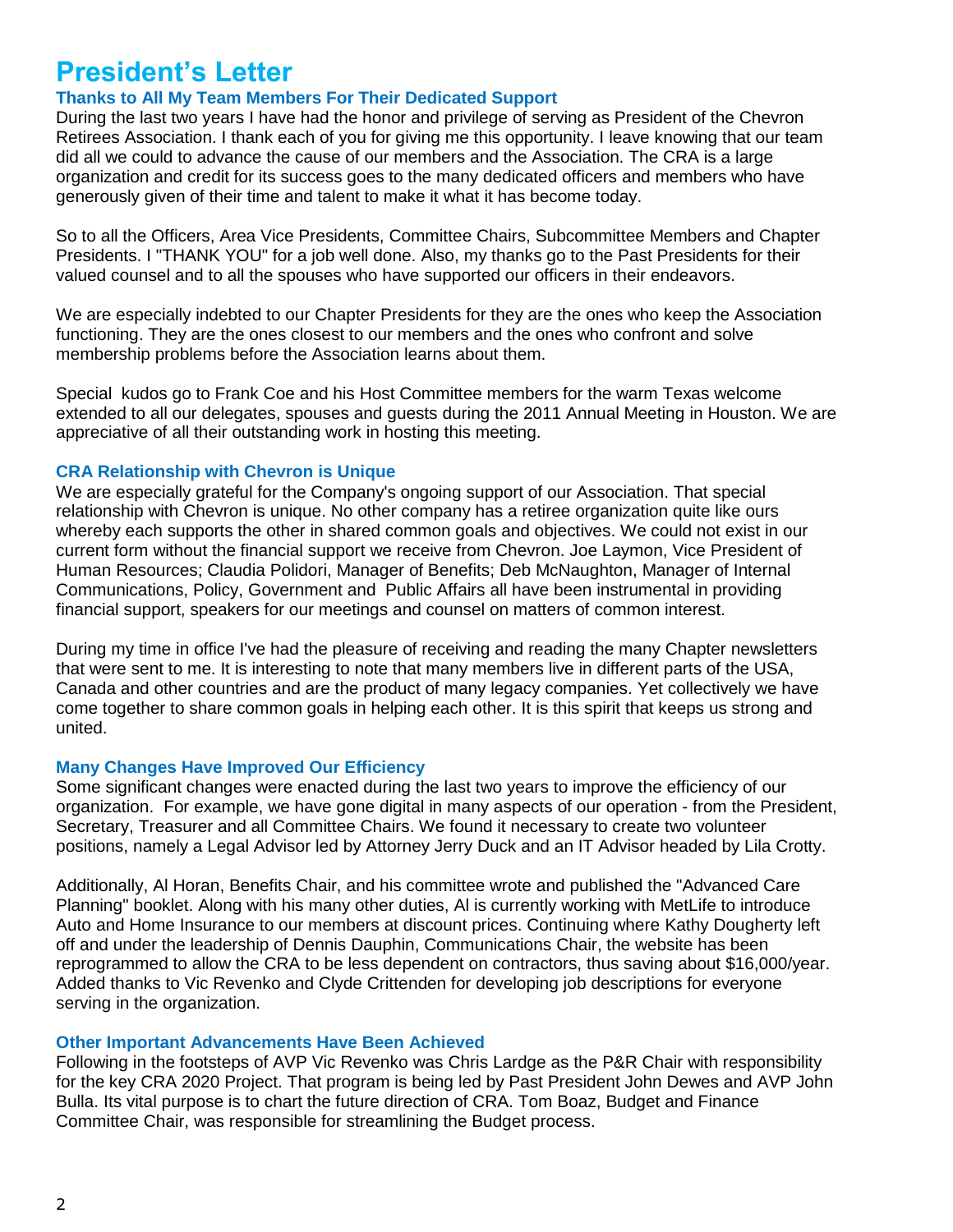# **President's Letter**

### **Thanks to All My Team Members For Their Dedicated Support**

During the last two years I have had the honor and privilege of serving as President of the Chevron Retirees Association. I thank each of you for giving me this opportunity. I leave knowing that our team did all we could to advance the cause of our members and the Association. The CRA is a large organization and credit for its success goes to the many dedicated officers and members who have generously given of their time and talent to make it what it has become today.

So to all the Officers, Area Vice Presidents, Committee Chairs, Subcommittee Members and Chapter Presidents. I "THANK YOU" for a job well done. Also, my thanks go to the Past Presidents for their valued counsel and to all the spouses who have supported our officers in their endeavors.

We are especially indebted to our Chapter Presidents for they are the ones who keep the Association functioning. They are the ones closest to our members and the ones who confront and solve membership problems before the Association learns about them.

Special kudos go to Frank Coe and his Host Committee members for the warm Texas welcome extended to all our delegates, spouses and guests during the 2011 Annual Meeting in Houston. We are appreciative of all their outstanding work in hosting this meeting.

#### **CRA Relationship with Chevron is Unique**

We are especially grateful for the Company's ongoing support of our Association. That special relationship with Chevron is unique. No other company has a retiree organization quite like ours whereby each supports the other in shared common goals and objectives. We could not exist in our current form without the financial support we receive from Chevron. Joe Laymon, Vice President of Human Resources; Claudia Polidori, Manager of Benefits; Deb McNaughton, Manager of Internal Communications, Policy, Government and Public Affairs all have been instrumental in providing financial support, speakers for our meetings and counsel on matters of common interest.

During my time in office I've had the pleasure of receiving and reading the many Chapter newsletters that were sent to me. It is interesting to note that many members live in different parts of the USA, Canada and other countries and are the product of many legacy companies. Yet collectively we have come together to share common goals in helping each other. It is this spirit that keeps us strong and united.

### **Many Changes Have Improved Our Efficiency**

Some significant changes were enacted during the last two years to improve the efficiency of our organization. For example, we have gone digital in many aspects of our operation - from the President, Secretary, Treasurer and all Committee Chairs. We found it necessary to create two volunteer positions, namely a Legal Advisor led by Attorney Jerry Duck and an IT Advisor headed by Lila Crotty.

Additionally, Al Horan, Benefits Chair, and his committee wrote and published the "Advanced Care Planning" booklet. Along with his many other duties, Al is currently working with MetLife to introduce Auto and Home Insurance to our members at discount prices. Continuing where Kathy Dougherty left off and under the leadership of Dennis Dauphin, Communications Chair, the website has been reprogrammed to allow the CRA to be less dependent on contractors, thus saving about \$16,000/year. Added thanks to Vic Revenko and Clyde Crittenden for developing job descriptions for everyone serving in the organization.

#### **Other Important Advancements Have Been Achieved**

Following in the footsteps of AVP Vic Revenko was Chris Lardge as the P&R Chair with responsibility for the key CRA 2020 Project. That program is being led by Past President John Dewes and AVP John Bulla. Its vital purpose is to chart the future direction of CRA. Tom Boaz, Budget and Finance Committee Chair, was responsible for streamlining the Budget process.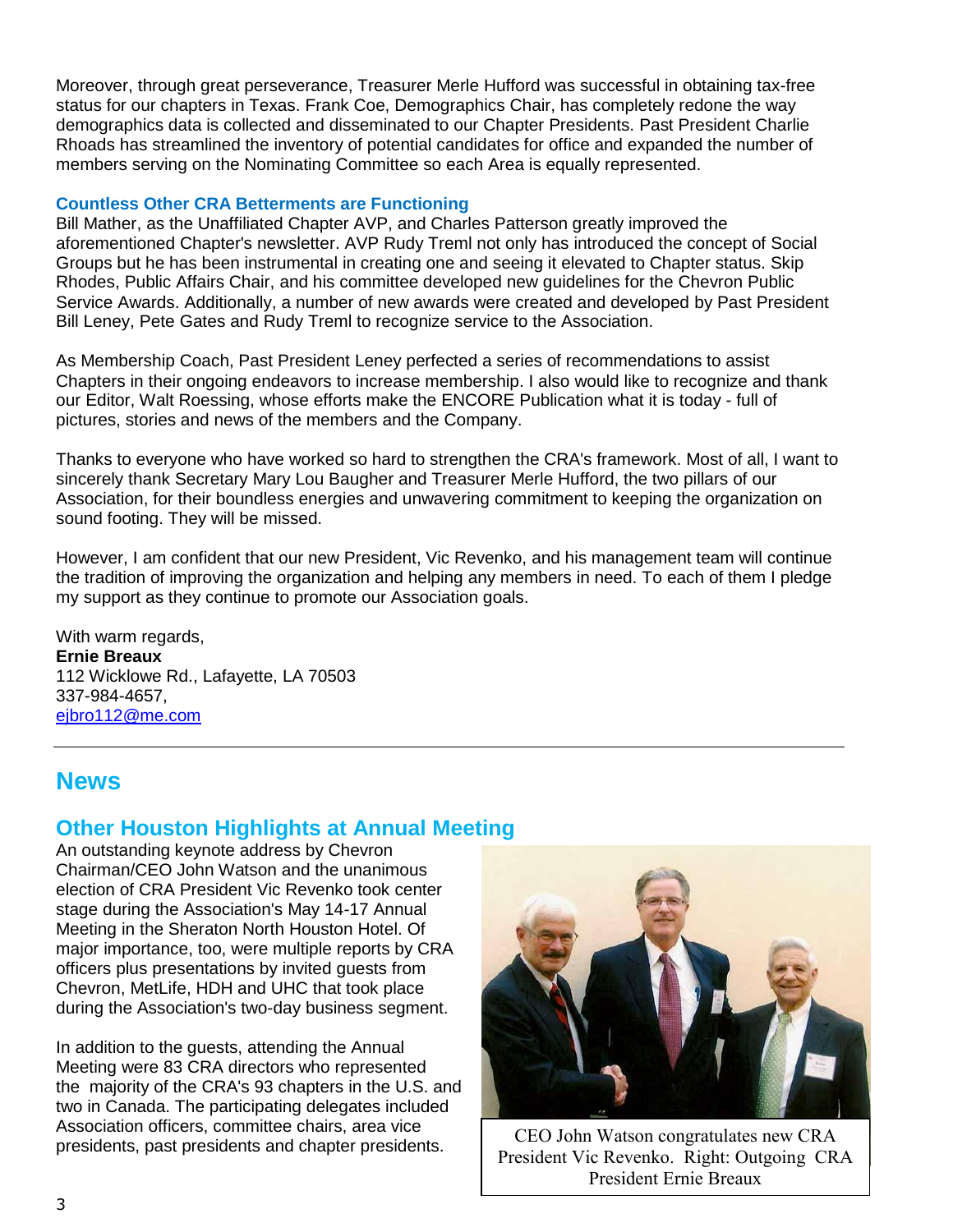Moreover, through great perseverance, Treasurer Merle Hufford was successful in obtaining tax-free status for our chapters in Texas. Frank Coe, Demographics Chair, has completely redone the way demographics data is collected and disseminated to our Chapter Presidents. Past President Charlie Rhoads has streamlined the inventory of potential candidates for office and expanded the number of members serving on the Nominating Committee so each Area is equally represented.

#### **Countless Other CRA Betterments are Functioning**

Bill Mather, as the Unaffiliated Chapter AVP, and Charles Patterson greatly improved the aforementioned Chapter's newsletter. AVP Rudy Treml not only has introduced the concept of Social Groups but he has been instrumental in creating one and seeing it elevated to Chapter status. Skip Rhodes, Public Affairs Chair, and his committee developed new guidelines for the Chevron Public Service Awards. Additionally, a number of new awards were created and developed by Past President Bill Leney, Pete Gates and Rudy Treml to recognize service to the Association.

As Membership Coach, Past President Leney perfected a series of recommendations to assist Chapters in their ongoing endeavors to increase membership. I also would like to recognize and thank our Editor, Walt Roessing, whose efforts make the ENCORE Publication what it is today - full of pictures, stories and news of the members and the Company.

Thanks to everyone who have worked so hard to strengthen the CRA's framework. Most of all, I want to sincerely thank Secretary Mary Lou Baugher and Treasurer Merle Hufford, the two pillars of our Association, for their boundless energies and unwavering commitment to keeping the organization on sound footing. They will be missed.

However, I am confident that our new President, Vic Revenko, and his management team will continue the tradition of improving the organization and helping any members in need. To each of them I pledge my support as they continue to promote our Association goals.

With warm regards. **Ernie Breaux** 112 Wicklowe Rd., Lafayette, LA 70503 337-984-4657, [ejbro112@me.com](mailto:ejbro112@me.com)

# **News**

## **Other Houston Highlights at Annual Meeting**

An outstanding keynote address by Chevron Chairman/CEO John Watson and the unanimous election of CRA President Vic Revenko took center stage during the Association's May 14-17 Annual Meeting in the Sheraton North Houston Hotel. Of major importance, too, were multiple reports by CRA officers plus presentations by invited guests from Chevron, MetLife, HDH and UHC that took place during the Association's two-day business segment.

In addition to the guests, attending the Annual Meeting were 83 CRA directors who represented the majority of the CRA's 93 chapters in the U.S. and two in Canada. The participating delegates included Association officers, committee chairs, area vice presidents, past presidents and chapter presidents. CEO John Watson congratulates new CRA



President Vic Revenko. Right: Outgoing CRA President Ernie Breaux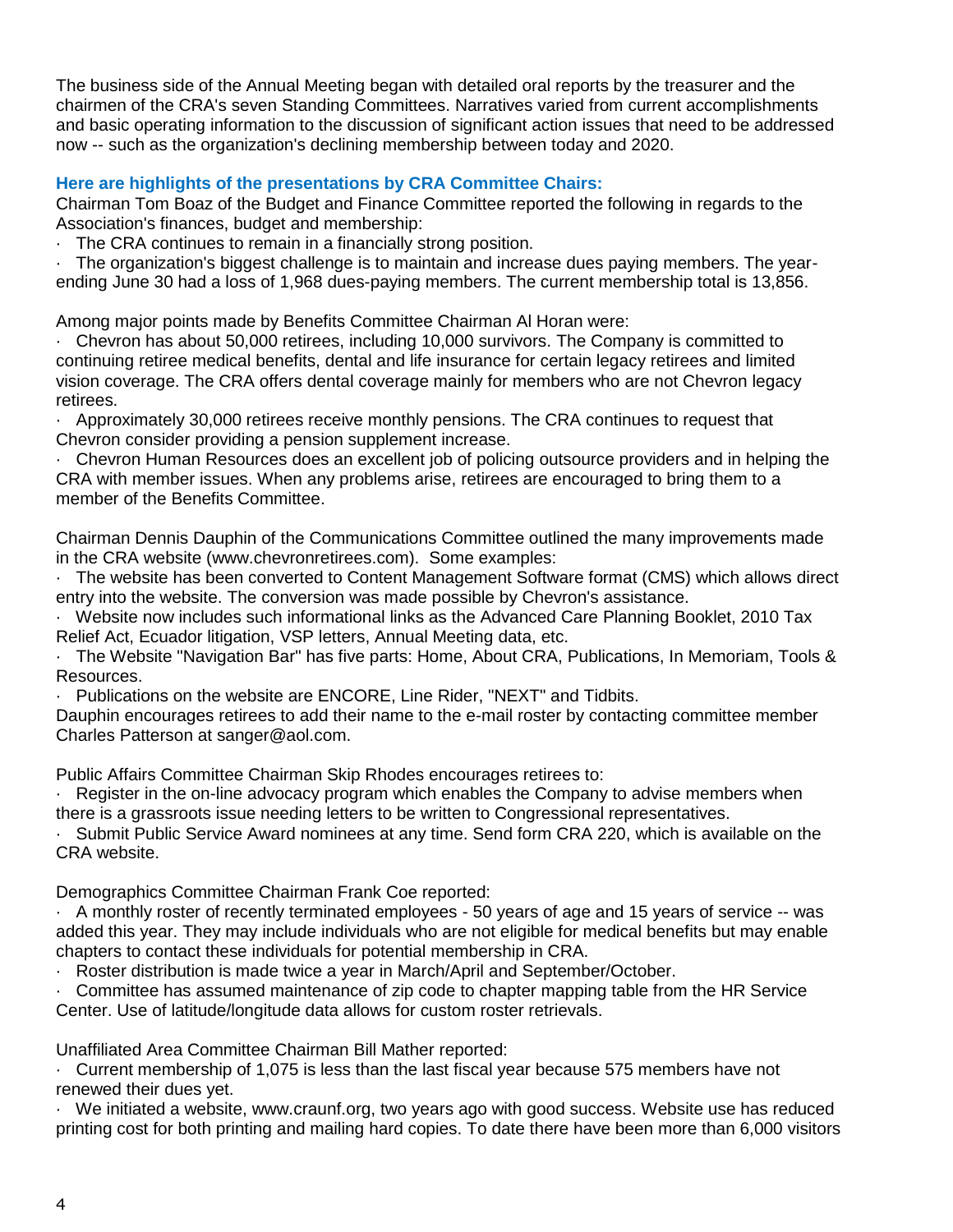The business side of the Annual Meeting began with detailed oral reports by the treasurer and the chairmen of the CRA's seven Standing Committees. Narratives varied from current accomplishments and basic operating information to the discussion of significant action issues that need to be addressed now -- such as the organization's declining membership between today and 2020.

### **Here are highlights of the presentations by CRA Committee Chairs:**

Chairman Tom Boaz of the Budget and Finance Committee reported the following in regards to the Association's finances, budget and membership:

The CRA continues to remain in a financially strong position.

· The organization's biggest challenge is to maintain and increase dues paying members. The yearending June 30 had a loss of 1,968 dues-paying members. The current membership total is 13,856.

Among major points made by Benefits Committee Chairman Al Horan were:

· Chevron has about 50,000 retirees, including 10,000 survivors. The Company is committed to continuing retiree medical benefits, dental and life insurance for certain legacy retirees and limited vision coverage. The CRA offers dental coverage mainly for members who are not Chevron legacy retirees.

· Approximately 30,000 retirees receive monthly pensions. The CRA continues to request that Chevron consider providing a pension supplement increase.

· Chevron Human Resources does an excellent job of policing outsource providers and in helping the CRA with member issues. When any problems arise, retirees are encouraged to bring them to a member of the Benefits Committee.

Chairman Dennis Dauphin of the Communications Committee outlined the many improvements made in the CRA website (www.chevronretirees.com). Some examples:

· The website has been converted to Content Management Software format (CMS) which allows direct entry into the website. The conversion was made possible by Chevron's assistance.

· Website now includes such informational links as the Advanced Care Planning Booklet, 2010 Tax Relief Act, Ecuador litigation, VSP letters, Annual Meeting data, etc.

· The Website "Navigation Bar" has five parts: Home, About CRA, Publications, In Memoriam, Tools & Resources.

Publications on the website are ENCORE, Line Rider, "NEXT" and Tidbits.

Dauphin encourages retirees to add their name to the e-mail roster by contacting committee member Charles Patterson at sanger@aol.com.

Public Affairs Committee Chairman Skip Rhodes encourages retirees to:

Register in the on-line advocacy program which enables the Company to advise members when there is a grassroots issue needing letters to be written to Congressional representatives.

· Submit Public Service Award nominees at any time. Send form CRA 220, which is available on the CRA website.

Demographics Committee Chairman Frank Coe reported:

· A monthly roster of recently terminated employees - 50 years of age and 15 years of service -- was added this year. They may include individuals who are not eligible for medical benefits but may enable chapters to contact these individuals for potential membership in CRA.

· Roster distribution is made twice a year in March/April and September/October.

· Committee has assumed maintenance of zip code to chapter mapping table from the HR Service Center. Use of latitude/longitude data allows for custom roster retrievals.

Unaffiliated Area Committee Chairman Bill Mather reported:

· Current membership of 1,075 is less than the last fiscal year because 575 members have not renewed their dues yet.

We initiated a website, www.craunf.org, two years ago with good success. Website use has reduced printing cost for both printing and mailing hard copies. To date there have been more than 6,000 visitors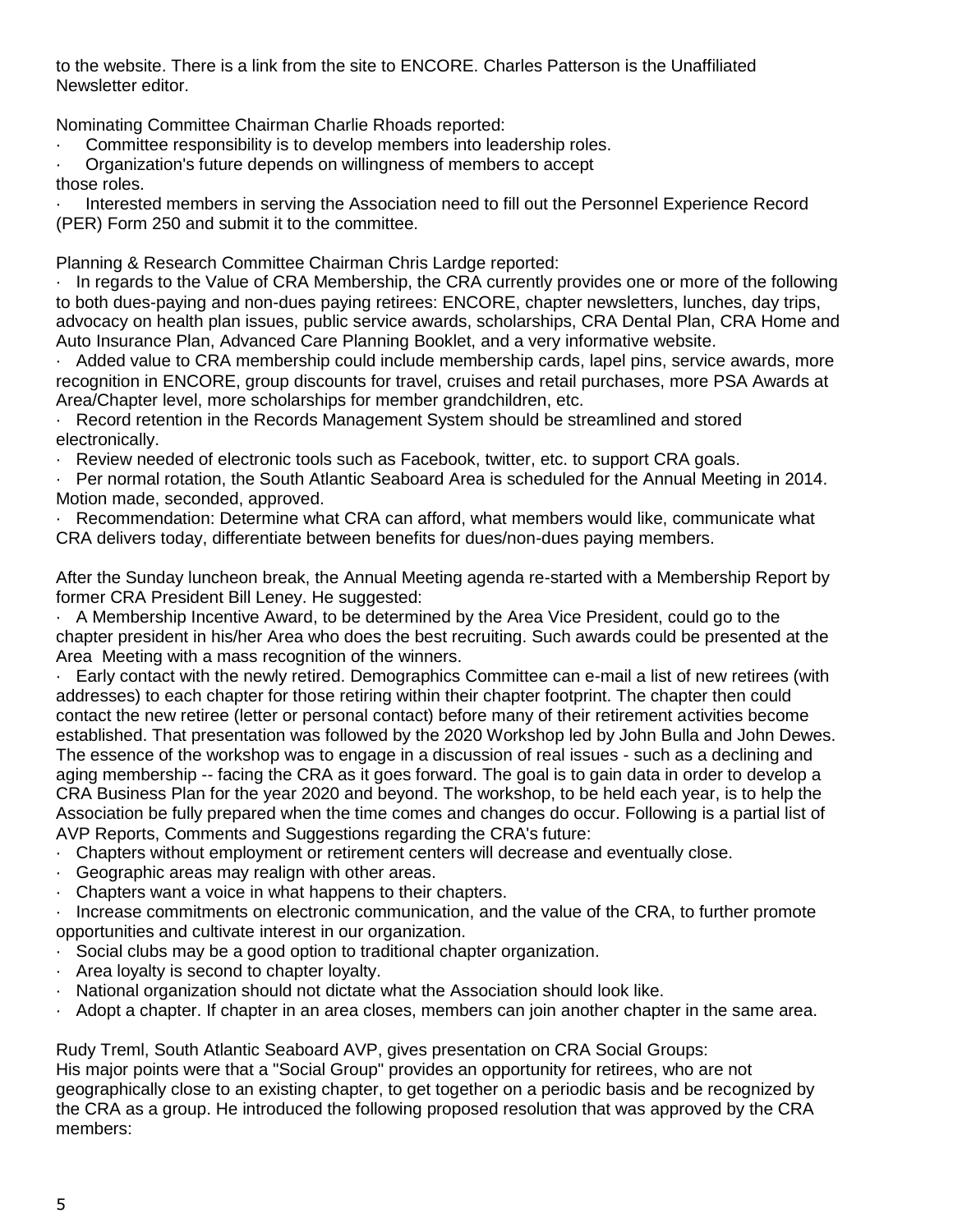to the website. There is a link from the site to ENCORE. Charles Patterson is the Unaffiliated Newsletter editor.

Nominating Committee Chairman Charlie Rhoads reported:

Committee responsibility is to develop members into leadership roles.

· Organization's future depends on willingness of members to accept those roles.

· Interested members in serving the Association need to fill out the Personnel Experience Record (PER) Form 250 and submit it to the committee.

Planning & Research Committee Chairman Chris Lardge reported:

· In regards to the Value of CRA Membership, the CRA currently provides one or more of the following to both dues-paying and non-dues paying retirees: ENCORE, chapter newsletters, lunches, day trips, advocacy on health plan issues, public service awards, scholarships, CRA Dental Plan, CRA Home and Auto Insurance Plan, Advanced Care Planning Booklet, and a very informative website.

· Added value to CRA membership could include membership cards, lapel pins, service awards, more recognition in ENCORE, group discounts for travel, cruises and retail purchases, more PSA Awards at Area/Chapter level, more scholarships for member grandchildren, etc.

Record retention in the Records Management System should be streamlined and stored electronically.

· Review needed of electronic tools such as Facebook, twitter, etc. to support CRA goals.

· Per normal rotation, the South Atlantic Seaboard Area is scheduled for the Annual Meeting in 2014. Motion made, seconded, approved.

Recommendation: Determine what CRA can afford, what members would like, communicate what CRA delivers today, differentiate between benefits for dues/non-dues paying members.

After the Sunday luncheon break, the Annual Meeting agenda re-started with a Membership Report by former CRA President Bill Leney. He suggested:

· A Membership Incentive Award, to be determined by the Area Vice President, could go to the chapter president in his/her Area who does the best recruiting. Such awards could be presented at the Area Meeting with a mass recognition of the winners.

· Early contact with the newly retired. Demographics Committee can e-mail a list of new retirees (with addresses) to each chapter for those retiring within their chapter footprint. The chapter then could contact the new retiree (letter or personal contact) before many of their retirement activities become established. That presentation was followed by the 2020 Workshop led by John Bulla and John Dewes. The essence of the workshop was to engage in a discussion of real issues - such as a declining and aging membership -- facing the CRA as it goes forward. The goal is to gain data in order to develop a CRA Business Plan for the year 2020 and beyond. The workshop, to be held each year, is to help the Association be fully prepared when the time comes and changes do occur. Following is a partial list of AVP Reports, Comments and Suggestions regarding the CRA's future:

- · Chapters without employment or retirement centers will decrease and eventually close.
- · Geographic areas may realign with other areas.
- · Chapters want a voice in what happens to their chapters.

· Increase commitments on electronic communication, and the value of the CRA, to further promote opportunities and cultivate interest in our organization.

- · Social clubs may be a good option to traditional chapter organization.
- · Area loyalty is second to chapter loyalty.
- · National organization should not dictate what the Association should look like.
- · Adopt a chapter. If chapter in an area closes, members can join another chapter in the same area.

Rudy Treml, South Atlantic Seaboard AVP, gives presentation on CRA Social Groups:

His major points were that a "Social Group" provides an opportunity for retirees, who are not geographically close to an existing chapter, to get together on a periodic basis and be recognized by the CRA as a group. He introduced the following proposed resolution that was approved by the CRA members: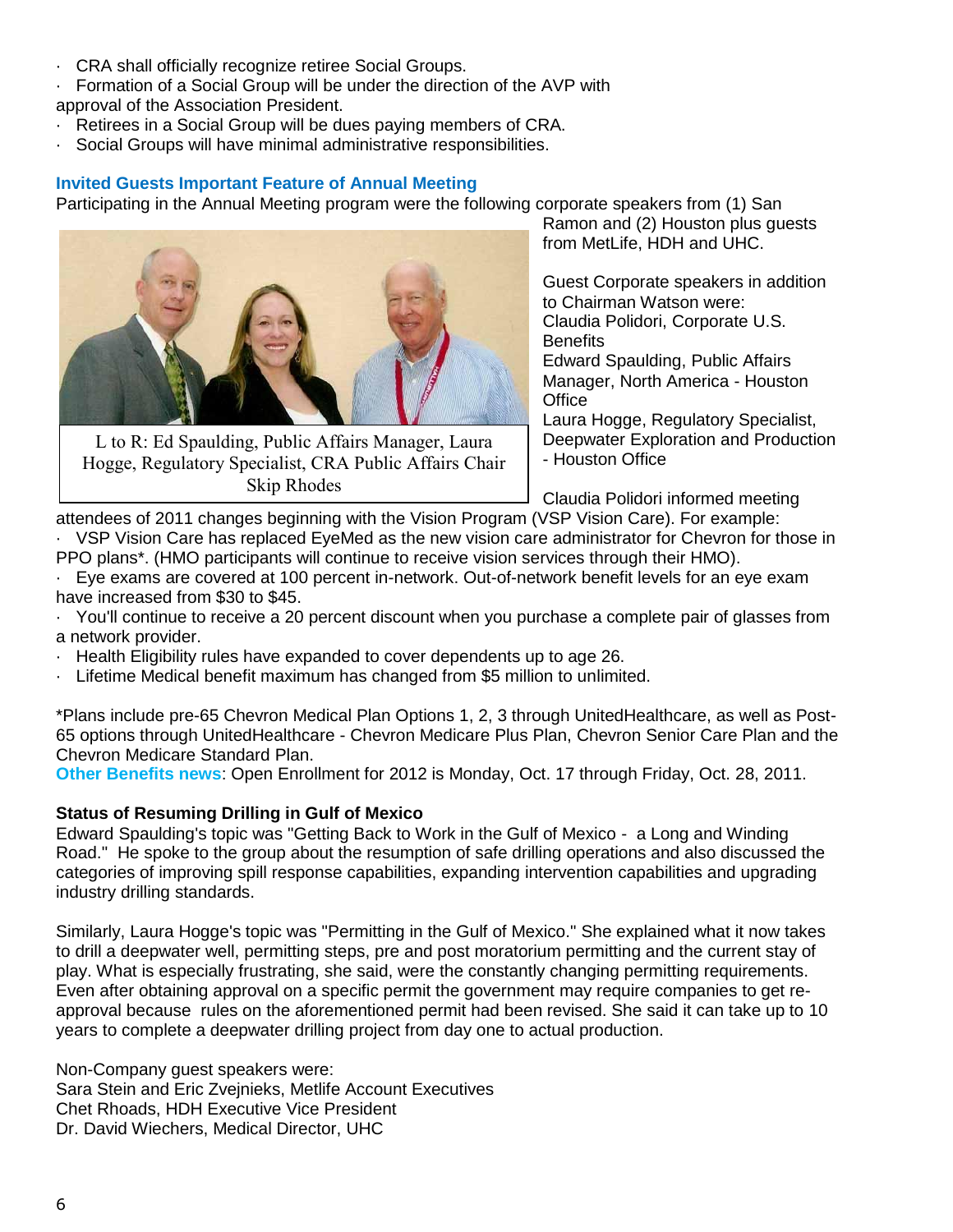- · CRA shall officially recognize retiree Social Groups.
- · Formation of a Social Group will be under the direction of the AVP with
- approval of the Association President.
- Retirees in a Social Group will be dues paying members of CRA.
- Social Groups will have minimal administrative responsibilities.

### **Invited Guests Important Feature of Annual Meeting**

Participating in the Annual Meeting program were the following corporate speakers from (1) San



L to R: Ed Spaulding, Public Affairs Manager, Laura Hogge, Regulatory Specialist, CRA Public Affairs Chair Skip Rhodes

Ramon and (2) Houston plus guests from MetLife, HDH and UHC.

Guest Corporate speakers in addition to Chairman Watson were: Claudia Polidori, Corporate U.S. **Benefits** Edward Spaulding, Public Affairs Manager, North America - Houston

**Office** Laura Hogge, Regulatory Specialist, Deepwater Exploration and Production

- Houston Office

Claudia Polidori informed meeting

attendees of 2011 changes beginning with the Vision Program (VSP Vision Care). For example: VSP Vision Care has replaced EyeMed as the new vision care administrator for Chevron for those in PPO plans\*. (HMO participants will continue to receive vision services through their HMO).

- · Eye exams are covered at 100 percent in-network. Out-of-network benefit levels for an eye exam have increased from \$30 to \$45.
- · You'll continue to receive a 20 percent discount when you purchase a complete pair of glasses from a network provider.
- · Health Eligibility rules have expanded to cover dependents up to age 26.
- · Lifetime Medical benefit maximum has changed from \$5 million to unlimited.

\*Plans include pre-65 Chevron Medical Plan Options 1, 2, 3 through UnitedHealthcare, as well as Post-65 options through UnitedHealthcare - Chevron Medicare Plus Plan, Chevron Senior Care Plan and the Chevron Medicare Standard Plan.

**Other Benefits news**: Open Enrollment for 2012 is Monday, Oct. 17 through Friday, Oct. 28, 2011.

### **Status of Resuming Drilling in Gulf of Mexico**

Edward Spaulding's topic was "Getting Back to Work in the Gulf of Mexico - a Long and Winding Road." He spoke to the group about the resumption of safe drilling operations and also discussed the categories of improving spill response capabilities, expanding intervention capabilities and upgrading industry drilling standards.

Similarly, Laura Hogge's topic was "Permitting in the Gulf of Mexico." She explained what it now takes to drill a deepwater well, permitting steps, pre and post moratorium permitting and the current stay of play. What is especially frustrating, she said, were the constantly changing permitting requirements. Even after obtaining approval on a specific permit the government may require companies to get reapproval because rules on the aforementioned permit had been revised. She said it can take up to 10 years to complete a deepwater drilling project from day one to actual production.

Non-Company guest speakers were: Sara Stein and Eric Zvejnieks, Metlife Account Executives Chet Rhoads, HDH Executive Vice President Dr. David Wiechers, Medical Director, UHC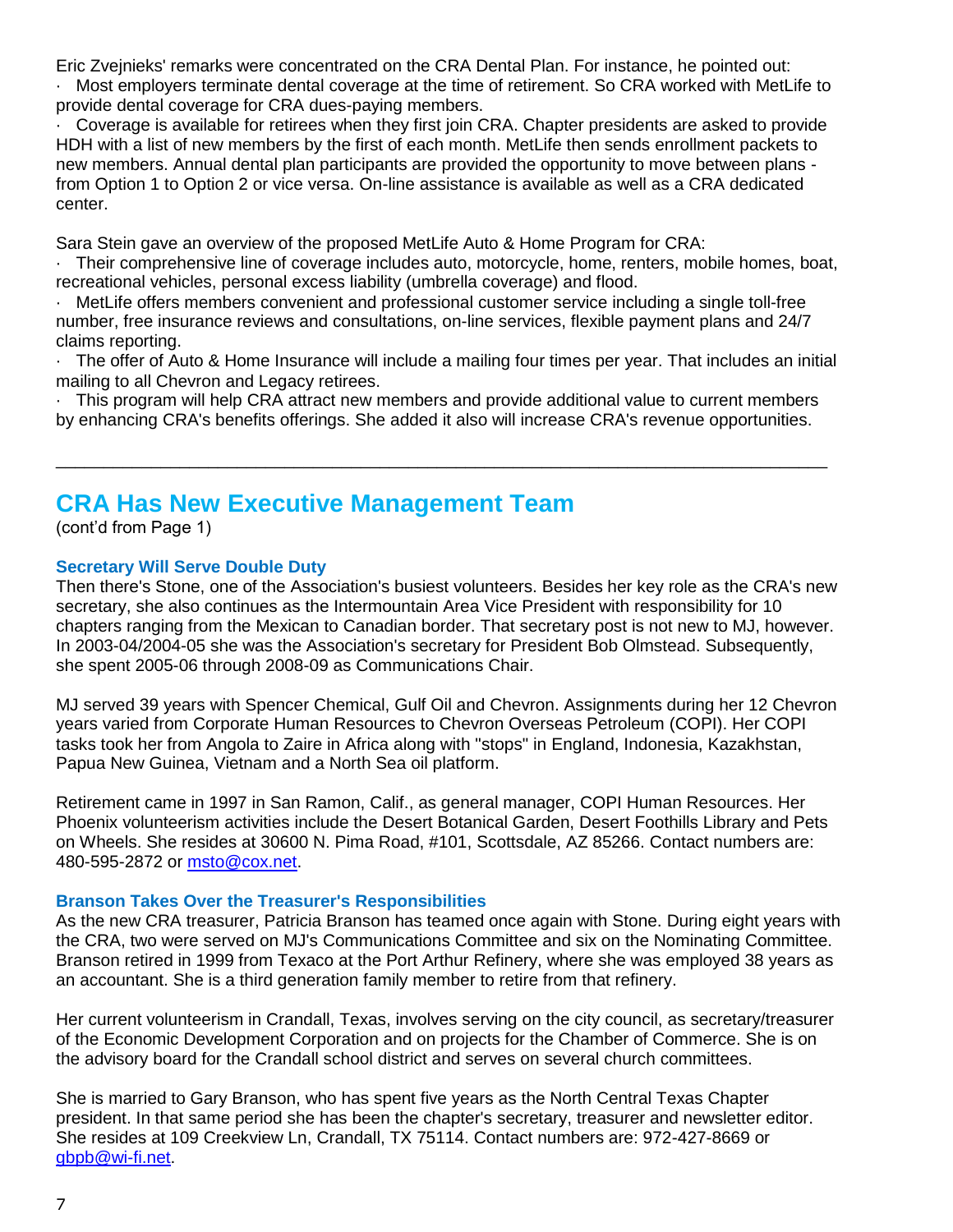Eric Zvejnieks' remarks were concentrated on the CRA Dental Plan. For instance, he pointed out:

· Most employers terminate dental coverage at the time of retirement. So CRA worked with MetLife to provide dental coverage for CRA dues-paying members.

· Coverage is available for retirees when they first join CRA. Chapter presidents are asked to provide HDH with a list of new members by the first of each month. MetLife then sends enrollment packets to new members. Annual dental plan participants are provided the opportunity to move between plans from Option 1 to Option 2 or vice versa. On-line assistance is available as well as a CRA dedicated center.

Sara Stein gave an overview of the proposed MetLife Auto & Home Program for CRA:

· Their comprehensive line of coverage includes auto, motorcycle, home, renters, mobile homes, boat, recreational vehicles, personal excess liability (umbrella coverage) and flood.

MetLife offers members convenient and professional customer service including a single toll-free number, free insurance reviews and consultations, on-line services, flexible payment plans and 24/7 claims reporting.

· The offer of Auto & Home Insurance will include a mailing four times per year. That includes an initial mailing to all Chevron and Legacy retirees.

· This program will help CRA attract new members and provide additional value to current members by enhancing CRA's benefits offerings. She added it also will increase CRA's revenue opportunities.

\_\_\_\_\_\_\_\_\_\_\_\_\_\_\_\_\_\_\_\_\_\_\_\_\_\_\_\_\_\_\_\_\_\_\_\_\_\_\_\_\_\_\_\_\_\_\_\_\_\_\_\_\_\_\_\_\_\_\_\_\_\_\_\_\_\_\_\_\_\_\_\_\_\_\_\_\_\_\_\_\_

# **CRA Has New Executive Management Team**

(cont'd from Page 1)

### **Secretary Will Serve Double Duty**

Then there's Stone, one of the Association's busiest volunteers. Besides her key role as the CRA's new secretary, she also continues as the Intermountain Area Vice President with responsibility for 10 chapters ranging from the Mexican to Canadian border. That secretary post is not new to MJ, however. In 2003-04/2004-05 she was the Association's secretary for President Bob Olmstead. Subsequently, she spent 2005-06 through 2008-09 as Communications Chair.

MJ served 39 years with Spencer Chemical, Gulf Oil and Chevron. Assignments during her 12 Chevron years varied from Corporate Human Resources to Chevron Overseas Petroleum (COPI). Her COPI tasks took her from Angola to Zaire in Africa along with "stops" in England, Indonesia, Kazakhstan, Papua New Guinea, Vietnam and a North Sea oil platform.

Retirement came in 1997 in San Ramon, Calif., as general manager, COPI Human Resources. Her Phoenix volunteerism activities include the Desert Botanical Garden, Desert Foothills Library and Pets on Wheels. She resides at 30600 N. Pima Road, #101, Scottsdale, AZ 85266. Contact numbers are: 480-595-2872 or [msto@cox.net.](mailto:msto@cox.net)

#### **Branson Takes Over the Treasurer's Responsibilities**

As the new CRA treasurer, Patricia Branson has teamed once again with Stone. During eight years with the CRA, two were served on MJ's Communications Committee and six on the Nominating Committee. Branson retired in 1999 from Texaco at the Port Arthur Refinery, where she was employed 38 years as an accountant. She is a third generation family member to retire from that refinery.

Her current volunteerism in Crandall, Texas, involves serving on the city council, as secretary/treasurer of the Economic Development Corporation and on projects for the Chamber of Commerce. She is on the advisory board for the Crandall school district and serves on several church committees.

She is married to Gary Branson, who has spent five years as the North Central Texas Chapter president. In that same period she has been the chapter's secretary, treasurer and newsletter editor. She resides at 109 Creekview Ln, Crandall, TX 75114. Contact numbers are: 972-427-8669 or [gbpb@wi-fi.net.](mailto:gbpb@wi-fi.net)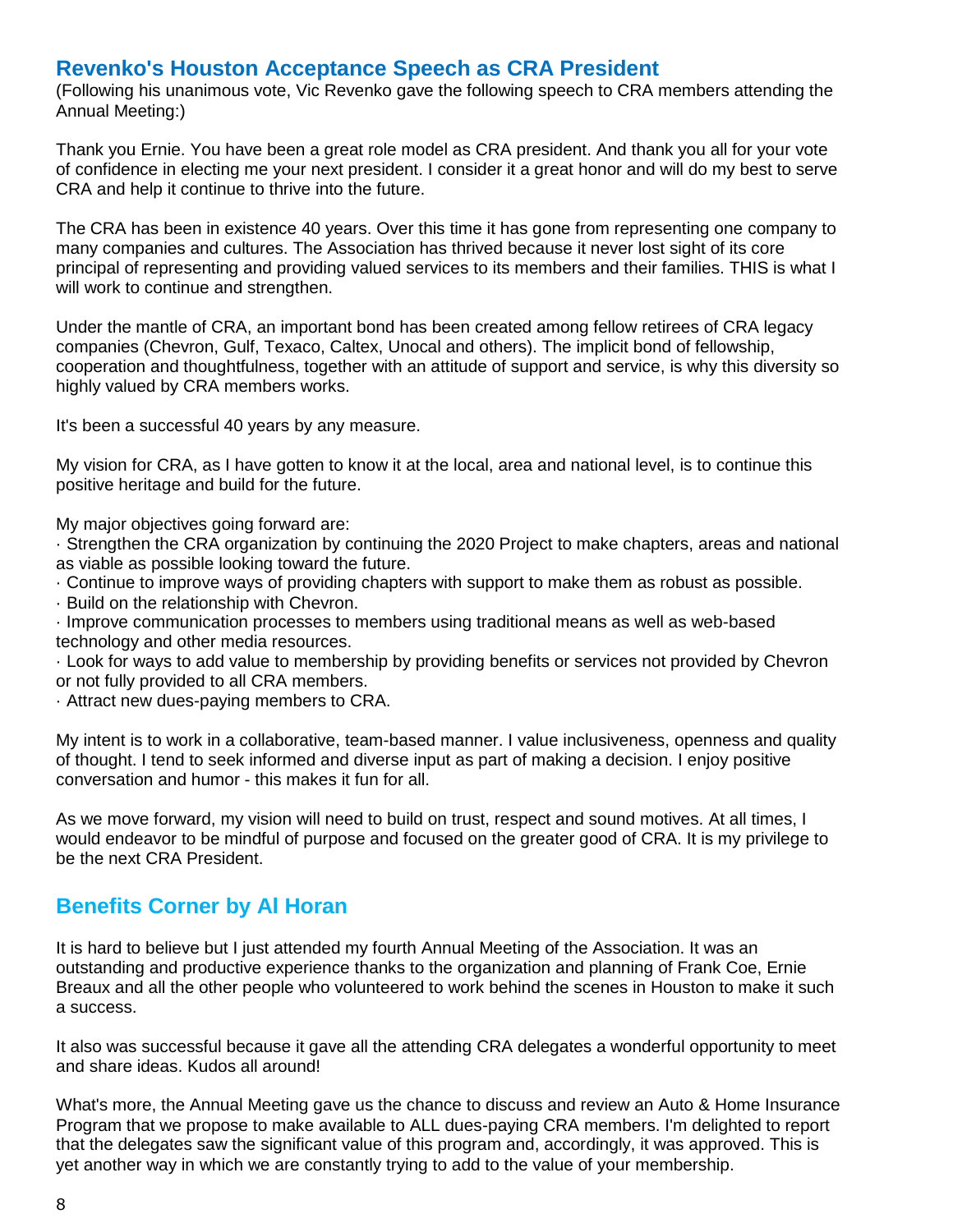## **Revenko's Houston Acceptance Speech as CRA President**

(Following his unanimous vote, Vic Revenko gave the following speech to CRA members attending the Annual Meeting:)

Thank you Ernie. You have been a great role model as CRA president. And thank you all for your vote of confidence in electing me your next president. I consider it a great honor and will do my best to serve CRA and help it continue to thrive into the future.

The CRA has been in existence 40 years. Over this time it has gone from representing one company to many companies and cultures. The Association has thrived because it never lost sight of its core principal of representing and providing valued services to its members and their families. THIS is what I will work to continue and strengthen.

Under the mantle of CRA, an important bond has been created among fellow retirees of CRA legacy companies (Chevron, Gulf, Texaco, Caltex, Unocal and others). The implicit bond of fellowship, cooperation and thoughtfulness, together with an attitude of support and service, is why this diversity so highly valued by CRA members works.

It's been a successful 40 years by any measure.

My vision for CRA, as I have gotten to know it at the local, area and national level, is to continue this positive heritage and build for the future.

My major objectives going forward are:

· Strengthen the CRA organization by continuing the 2020 Project to make chapters, areas and national as viable as possible looking toward the future.

· Continue to improve ways of providing chapters with support to make them as robust as possible.

· Build on the relationship with Chevron.

· Improve communication processes to members using traditional means as well as web-based technology and other media resources.

· Look for ways to add value to membership by providing benefits or services not provided by Chevron or not fully provided to all CRA members.

· Attract new dues-paying members to CRA.

My intent is to work in a collaborative, team-based manner. I value inclusiveness, openness and quality of thought. I tend to seek informed and diverse input as part of making a decision. I enjoy positive conversation and humor - this makes it fun for all.

As we move forward, my vision will need to build on trust, respect and sound motives. At all times, I would endeavor to be mindful of purpose and focused on the greater good of CRA. It is my privilege to be the next CRA President.

## **Benefits Corner by Al Horan**

It is hard to believe but I just attended my fourth Annual Meeting of the Association. It was an outstanding and productive experience thanks to the organization and planning of Frank Coe, Ernie Breaux and all the other people who volunteered to work behind the scenes in Houston to make it such a success.

It also was successful because it gave all the attending CRA delegates a wonderful opportunity to meet and share ideas. Kudos all around!

What's more, the Annual Meeting gave us the chance to discuss and review an Auto & Home Insurance Program that we propose to make available to ALL dues-paying CRA members. I'm delighted to report that the delegates saw the significant value of this program and, accordingly, it was approved. This is yet another way in which we are constantly trying to add to the value of your membership.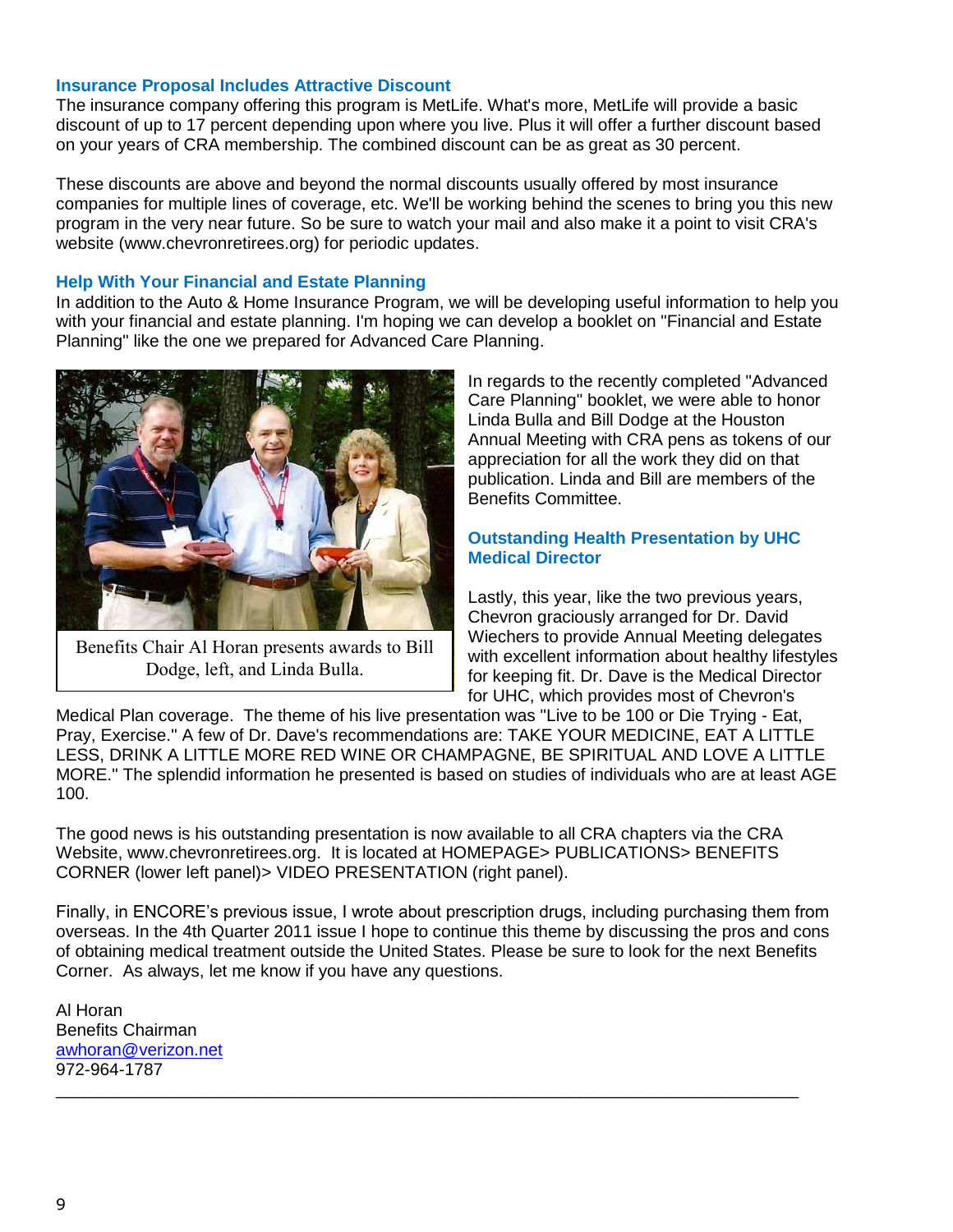#### **Insurance Proposal Includes Attractive Discount**

The insurance company offering this program is MetLife. What's more, MetLife will provide a basic discount of up to 17 percent depending upon where you live. Plus it will offer a further discount based on your years of CRA membership. The combined discount can be as great as 30 percent.

These discounts are above and beyond the normal discounts usually offered by most insurance companies for multiple lines of coverage, etc. We'll be working behind the scenes to bring you this new program in the very near future. So be sure to watch your mail and also make it a point to visit CRA's website (www.chevronretirees.org) for periodic updates.

### **Help With Your Financial and Estate Planning**

In addition to the Auto & Home Insurance Program, we will be developing useful information to help you with your financial and estate planning. I'm hoping we can develop a booklet on "Financial and Estate Planning" like the one we prepared for Advanced Care Planning.



Benefits Chair Al Horan presents awards to Bill Dodge, left, and Linda Bulla.

In regards to the recently completed "Advanced Care Planning" booklet, we were able to honor Linda Bulla and Bill Dodge at the Houston Annual Meeting with CRA pens as tokens of our appreciation for all the work they did on that publication. Linda and Bill are members of the Benefits Committee.

#### **Outstanding Health Presentation by UHC Medical Director**

Lastly, this year, like the two previous years, Chevron graciously arranged for Dr. David Wiechers to provide Annual Meeting delegates with excellent information about healthy lifestyles for keeping fit. Dr. Dave is the Medical Director for UHC, which provides most of Chevron's

Medical Plan coverage. The theme of his live presentation was "Live to be 100 or Die Trying - Eat, Pray, Exercise." A few of Dr. Dave's recommendations are: TAKE YOUR MEDICINE, EAT A LITTLE LESS, DRINK A LITTLE MORE RED WINE OR CHAMPAGNE, BE SPIRITUAL AND LOVE A LITTLE MORE." The splendid information he presented is based on studies of individuals who are at least AGE 100.

The good news is his outstanding presentation is now available to all CRA chapters via the CRA Website, www.chevronretirees.org. It is located at HOMEPAGE> PUBLICATIONS> BENEFITS CORNER (lower left panel)> VIDEO PRESENTATION (right panel).

Finally, in ENCORE's previous issue, I wrote about prescription drugs, including purchasing them from overseas. In the 4th Quarter 2011 issue I hope to continue this theme by discussing the pros and cons of obtaining medical treatment outside the United States. Please be sure to look for the next Benefits Corner. As always, let me know if you have any questions.

\_\_\_\_\_\_\_\_\_\_\_\_\_\_\_\_\_\_\_\_\_\_\_\_\_\_\_\_\_\_\_\_\_\_\_\_\_\_\_\_\_\_\_\_\_\_\_\_\_\_\_\_\_\_\_\_\_\_\_\_\_\_\_\_\_\_\_\_\_\_\_\_\_\_\_\_\_\_

Al Horan Benefits Chairman [awhoran@verizon.net](mailto:awhoran@verizon.net) 972-964-1787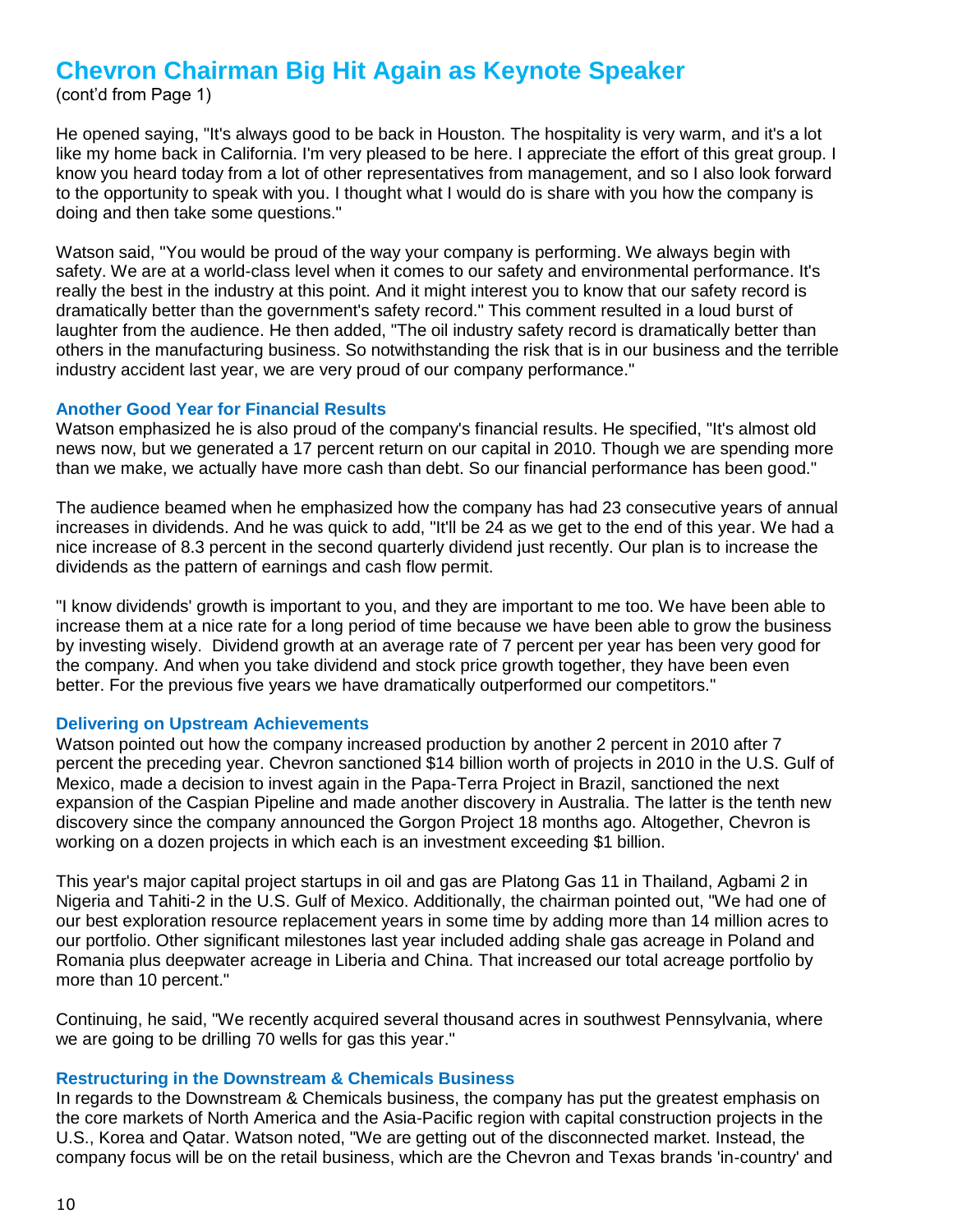# **Chevron Chairman Big Hit Again as Keynote Speaker**

(cont'd from Page 1)

He opened saying, "It's always good to be back in Houston. The hospitality is very warm, and it's a lot like my home back in California. I'm very pleased to be here. I appreciate the effort of this great group. I know you heard today from a lot of other representatives from management, and so I also look forward to the opportunity to speak with you. I thought what I would do is share with you how the company is doing and then take some questions."

Watson said, "You would be proud of the way your company is performing. We always begin with safety. We are at a world-class level when it comes to our safety and environmental performance. It's really the best in the industry at this point. And it might interest you to know that our safety record is dramatically better than the government's safety record." This comment resulted in a loud burst of laughter from the audience. He then added, "The oil industry safety record is dramatically better than others in the manufacturing business. So notwithstanding the risk that is in our business and the terrible industry accident last year, we are very proud of our company performance."

#### **Another Good Year for Financial Results**

Watson emphasized he is also proud of the company's financial results. He specified, "It's almost old news now, but we generated a 17 percent return on our capital in 2010. Though we are spending more than we make, we actually have more cash than debt. So our financial performance has been good."

The audience beamed when he emphasized how the company has had 23 consecutive years of annual increases in dividends. And he was quick to add, "It'll be 24 as we get to the end of this year. We had a nice increase of 8.3 percent in the second quarterly dividend just recently. Our plan is to increase the dividends as the pattern of earnings and cash flow permit.

"I know dividends' growth is important to you, and they are important to me too. We have been able to increase them at a nice rate for a long period of time because we have been able to grow the business by investing wisely. Dividend growth at an average rate of 7 percent per year has been very good for the company. And when you take dividend and stock price growth together, they have been even better. For the previous five years we have dramatically outperformed our competitors."

### **Delivering on Upstream Achievements**

Watson pointed out how the company increased production by another 2 percent in 2010 after 7 percent the preceding year. Chevron sanctioned \$14 billion worth of projects in 2010 in the U.S. Gulf of Mexico, made a decision to invest again in the Papa-Terra Project in Brazil, sanctioned the next expansion of the Caspian Pipeline and made another discovery in Australia. The latter is the tenth new discovery since the company announced the Gorgon Project 18 months ago. Altogether, Chevron is working on a dozen projects in which each is an investment exceeding \$1 billion.

This year's major capital project startups in oil and gas are Platong Gas 11 in Thailand, Agbami 2 in Nigeria and Tahiti-2 in the U.S. Gulf of Mexico. Additionally, the chairman pointed out, "We had one of our best exploration resource replacement years in some time by adding more than 14 million acres to our portfolio. Other significant milestones last year included adding shale gas acreage in Poland and Romania plus deepwater acreage in Liberia and China. That increased our total acreage portfolio by more than 10 percent."

Continuing, he said, "We recently acquired several thousand acres in southwest Pennsylvania, where we are going to be drilling 70 wells for gas this year."

### **Restructuring in the Downstream & Chemicals Business**

In regards to the Downstream & Chemicals business, the company has put the greatest emphasis on the core markets of North America and the Asia-Pacific region with capital construction projects in the U.S., Korea and Qatar. Watson noted, "We are getting out of the disconnected market. Instead, the company focus will be on the retail business, which are the Chevron and Texas brands 'in-country' and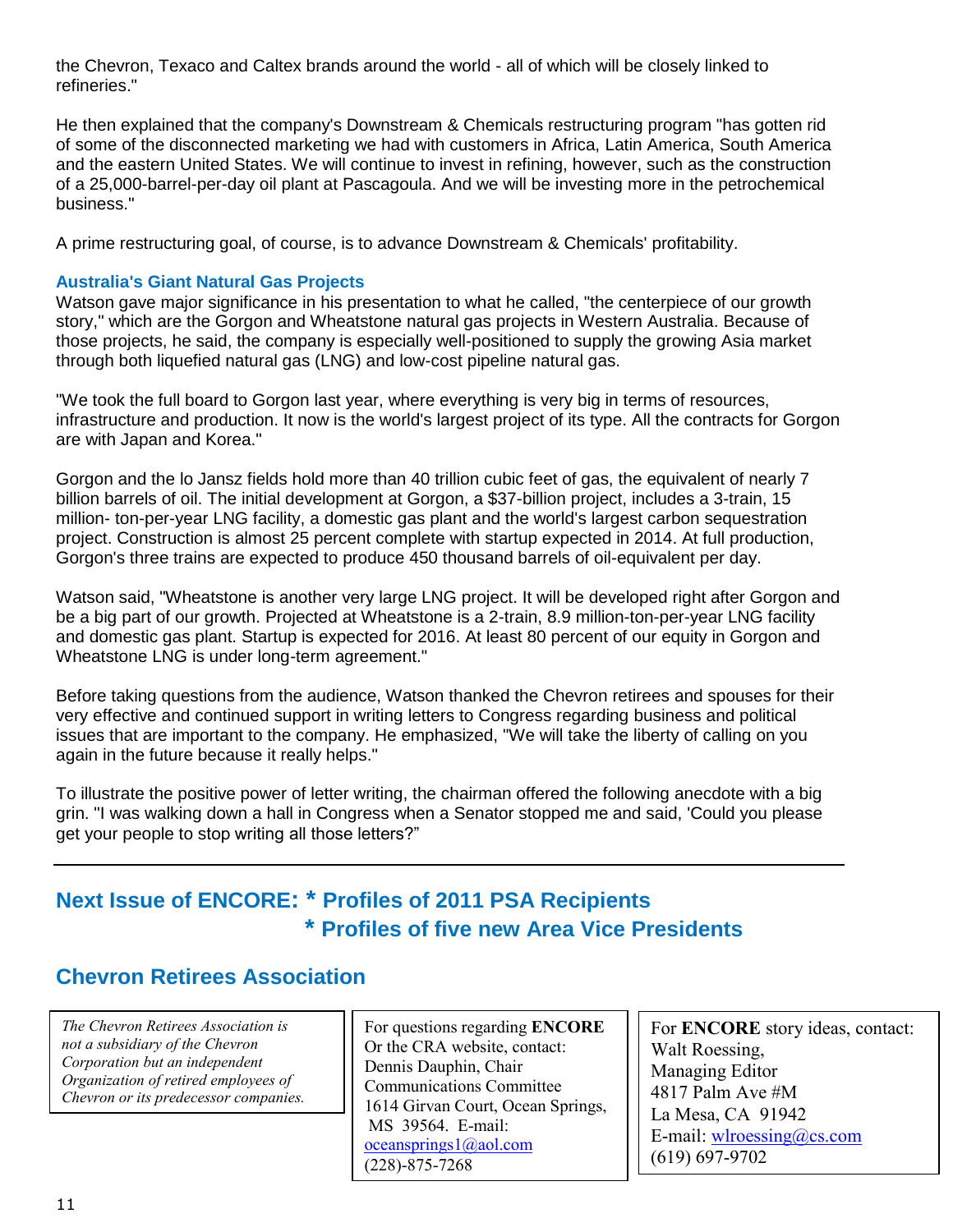the Chevron, Texaco and Caltex brands around the world - all of which will be closely linked to refineries."

He then explained that the company's Downstream & Chemicals restructuring program "has gotten rid of some of the disconnected marketing we had with customers in Africa, Latin America, South America and the eastern United States. We will continue to invest in refining, however, such as the construction of a 25,000-barrel-per-day oil plant at Pascagoula. And we will be investing more in the petrochemical business."

A prime restructuring goal, of course, is to advance Downstream & Chemicals' profitability.

### **Australia's Giant Natural Gas Projects**

Watson gave major significance in his presentation to what he called, "the centerpiece of our growth story," which are the Gorgon and Wheatstone natural gas projects in Western Australia. Because of those projects, he said, the company is especially well-positioned to supply the growing Asia market through both liquefied natural gas (LNG) and low-cost pipeline natural gas.

"We took the full board to Gorgon last year, where everything is very big in terms of resources, infrastructure and production. It now is the world's largest project of its type. All the contracts for Gorgon are with Japan and Korea."

Gorgon and the lo Jansz fields hold more than 40 trillion cubic feet of gas, the equivalent of nearly 7 billion barrels of oil. The initial development at Gorgon, a \$37-billion project, includes a 3-train, 15 million- ton-per-year LNG facility, a domestic gas plant and the world's largest carbon sequestration project. Construction is almost 25 percent complete with startup expected in 2014. At full production, Gorgon's three trains are expected to produce 450 thousand barrels of oil-equivalent per day.

Watson said, "Wheatstone is another very large LNG project. It will be developed right after Gorgon and be a big part of our growth. Projected at Wheatstone is a 2-train, 8.9 million-ton-per-year LNG facility and domestic gas plant. Startup is expected for 2016. At least 80 percent of our equity in Gorgon and Wheatstone LNG is under long-term agreement."

Before taking questions from the audience, Watson thanked the Chevron retirees and spouses for their very effective and continued support in writing letters to Congress regarding business and political issues that are important to the company. He emphasized, "We will take the liberty of calling on you again in the future because it really helps."

To illustrate the positive power of letter writing, the chairman offered the following anecdote with a big grin. "I was walking down a hall in Congress when a Senator stopped me and said, 'Could you please get your people to stop writing all those letters?"

## **Next Issue of ENCORE: \* Profiles of 2011 PSA Recipients \* Profiles of five new Area Vice Presidents**

## **Chevron Retirees Association**

*The Chevron Retirees Association is not a subsidiary of the Chevron Corporation but an independent Organization of retired employees of Chevron or its predecessor companies.*

For questions regarding **ENCORE** Or the CRA website, contact: Dennis Dauphin, Chair Communications Committee 1614 Girvan Court, Ocean Springs, MS 39564. E-mail: [oceansprings1@aol.com](mailto:oceansprings1@aol.com) (228)-875-7268

For **ENCORE** story ideas, contact: Walt Roessing, Managing Editor 4817 Palm Ave #M La Mesa, CA 91942 E-mail: wh $r$  lossing  $@$  cs.com (619) 697-9702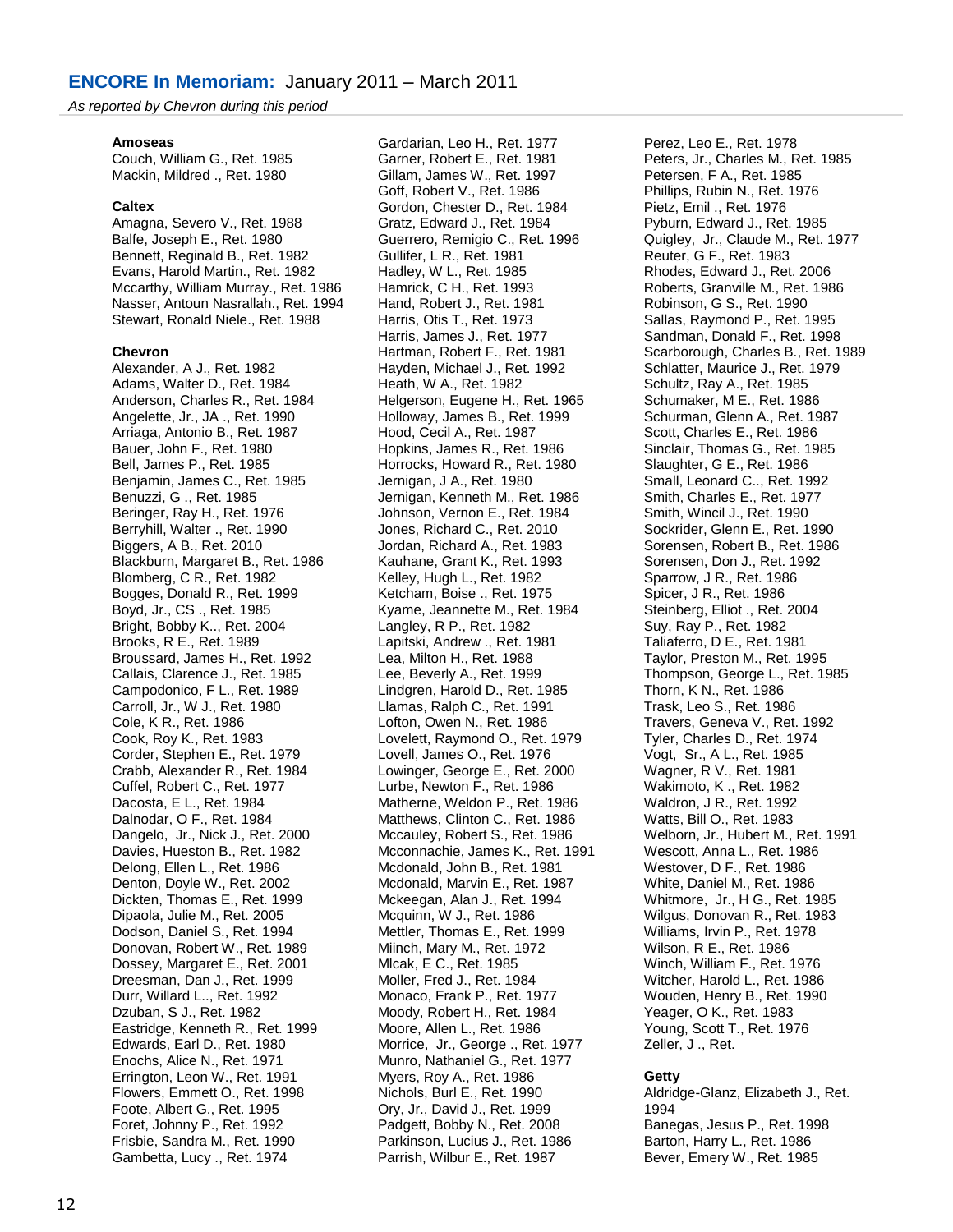*As reported by Chevron during this period*

#### **Amoseas**

Couch, William G., Ret. 1985 Mackin, Mildred ., Ret. 1980

#### **Caltex**

Amagna, Severo V., Ret. 1988 Balfe, Joseph E., Ret. 1980 Bennett, Reginald B., Ret. 1982 Evans, Harold Martin., Ret. 1982 Mccarthy, William Murray., Ret. 1986 Nasser, Antoun Nasrallah., Ret. 1994 Stewart, Ronald Niele., Ret. 1988

#### **Chevron**

Alexander, A J., Ret. 1982 Adams, Walter D., Ret. 1984 Anderson, Charles R., Ret. 1984 Angelette, Jr., JA ., Ret. 1990 Arriaga, Antonio B., Ret. 1987 Bauer, John F., Ret. 1980 Bell, James P., Ret. 1985 Benjamin, James C., Ret. 1985 Benuzzi, G ., Ret. 1985 Beringer, Ray H., Ret. 1976 Berryhill, Walter ., Ret. 1990 Biggers, A B., Ret. 2010 Blackburn, Margaret B., Ret. 1986 Blomberg, C R., Ret. 1982 Bogges, Donald R., Ret. 1999 Boyd, Jr., CS ., Ret. 1985 Bright, Bobby K.., Ret. 2004 Brooks, R E., Ret. 1989 Broussard, James H., Ret. 1992 Callais, Clarence J., Ret. 1985 Campodonico, F L., Ret. 1989 Carroll, Jr., W J., Ret. 1980 Cole, K R., Ret. 1986 Cook, Roy K., Ret. 1983 Corder, Stephen E., Ret. 1979 Crabb, Alexander R., Ret. 1984 Cuffel, Robert C., Ret. 1977 Dacosta, E L., Ret. 1984 Dalnodar, O F., Ret. 1984 Dangelo, Jr., Nick J., Ret. 2000 Davies, Hueston B., Ret. 1982 Delong, Ellen L., Ret. 1986 Denton, Doyle W., Ret. 2002 Dickten, Thomas E., Ret. 1999 Dipaola, Julie M., Ret. 2005 Dodson, Daniel S., Ret. 1994 Donovan, Robert W., Ret. 1989 Dossey, Margaret E., Ret. 2001 Dreesman, Dan J., Ret. 1999 Durr, Willard L.., Ret. 1992 Dzuban, S J., Ret. 1982 Eastridge, Kenneth R., Ret. 1999 Edwards, Earl D., Ret. 1980 Enochs, Alice N., Ret. 1971 Errington, Leon W., Ret. 1991 Flowers, Emmett O., Ret. 1998 Foote, Albert G., Ret. 1995 Foret, Johnny P., Ret. 1992 Frisbie, Sandra M., Ret. 1990 Gambetta, Lucy ., Ret. 1974

Gardarian, Leo H., Ret. 1977 Garner, Robert E., Ret. 1981 Gillam, James W., Ret. 1997 Goff, Robert V., Ret. 1986 Gordon, Chester D., Ret. 1984 Gratz, Edward J., Ret. 1984 Guerrero, Remigio C., Ret. 1996 Gullifer, L R., Ret. 1981 Hadley, W L., Ret. 1985 Hamrick, C H., Ret. 1993 Hand, Robert J., Ret. 1981 Harris, Otis T., Ret. 1973 Harris, James J., Ret. 1977 Hartman, Robert F., Ret. 1981 Hayden, Michael J., Ret. 1992 Heath, W A., Ret. 1982 Helgerson, Eugene H., Ret. 1965 Holloway, James B., Ret. 1999 Hood, Cecil A., Ret. 1987 Hopkins, James R., Ret. 1986 Horrocks, Howard R., Ret. 1980 Jernigan, J A., Ret. 1980 Jernigan, Kenneth M., Ret. 1986 Johnson, Vernon E., Ret. 1984 Jones, Richard C., Ret. 2010 Jordan, Richard A., Ret. 1983 Kauhane, Grant K., Ret. 1993 Kelley, Hugh L., Ret. 1982 Ketcham, Boise ., Ret. 1975 Kyame, Jeannette M., Ret. 1984 Langley, R P., Ret. 1982 Lapitski, Andrew ., Ret. 1981 Lea, Milton H., Ret. 1988 Lee, Beverly A., Ret. 1999 Lindgren, Harold D., Ret. 1985 Llamas, Ralph C., Ret. 1991 Lofton, Owen N., Ret. 1986 Lovelett, Raymond O., Ret. 1979 Lovell, James O., Ret. 1976 Lowinger, George E., Ret. 2000 Lurbe, Newton F., Ret. 1986 Matherne, Weldon P., Ret. 1986 Matthews, Clinton C., Ret. 1986 Mccauley, Robert S., Ret. 1986 Mcconnachie, James K., Ret. 1991 Mcdonald, John B., Ret. 1981 Mcdonald, Marvin E., Ret. 1987 Mckeegan, Alan J., Ret. 1994 Mcquinn, W J., Ret. 1986 Mettler, Thomas E., Ret. 1999 Miinch, Mary M., Ret. 1972 Mlcak, E C., Ret. 1985 Moller, Fred J., Ret. 1984 Monaco, Frank P., Ret. 1977 Moody, Robert H., Ret. 1984 Moore, Allen L., Ret. 1986 Morrice, Jr., George ., Ret. 1977 Munro, Nathaniel G., Ret. 1977 Myers, Roy A., Ret. 1986 Nichols, Burl E., Ret. 1990 Ory, Jr., David J., Ret. 1999 Padgett, Bobby N., Ret. 2008 Parkinson, Lucius J., Ret. 1986 Parrish, Wilbur E., Ret. 1987

Perez, Leo E., Ret. 1978 Peters, Jr., Charles M., Ret. 1985 Petersen, F A., Ret. 1985 Phillips, Rubin N., Ret. 1976 Pietz, Emil ., Ret. 1976 Pyburn, Edward J., Ret. 1985 Quigley, Jr., Claude M., Ret. 1977 Reuter, G F., Ret. 1983 Rhodes, Edward J., Ret. 2006 Roberts, Granville M., Ret. 1986 Robinson, G S., Ret. 1990 Sallas, Raymond P., Ret. 1995 Sandman, Donald F., Ret. 1998 Scarborough, Charles B., Ret. 1989 Schlatter, Maurice J., Ret. 1979 Schultz, Ray A., Ret. 1985 Schumaker, M E., Ret. 1986 Schurman, Glenn A., Ret. 1987 Scott, Charles E., Ret. 1986 Sinclair, Thomas G., Ret. 1985 Slaughter, G E., Ret. 1986 Small, Leonard C.., Ret. 1992 Smith, Charles E., Ret. 1977 Smith, Wincil J., Ret. 1990 Sockrider, Glenn E., Ret. 1990 Sorensen, Robert B., Ret. 1986 Sorensen, Don J., Ret. 1992 Sparrow, J R., Ret. 1986 Spicer, J R., Ret. 1986 Steinberg, Elliot ., Ret. 2004 Suy, Ray P., Ret. 1982 Taliaferro, D E., Ret. 1981 Taylor, Preston M., Ret. 1995 Thompson, George L., Ret. 1985 Thorn, K N., Ret. 1986 Trask, Leo S., Ret. 1986 Travers, Geneva V., Ret. 1992 Tyler, Charles D., Ret. 1974 Vogt, Sr., A L., Ret. 1985 Wagner, R V., Ret. 1981 Wakimoto, K ., Ret. 1982 Waldron, J R., Ret. 1992 Watts, Bill O., Ret. 1983 Welborn, Jr., Hubert M., Ret. 1991 Wescott, Anna L., Ret. 1986 Westover, D F., Ret. 1986 White, Daniel M., Ret. 1986 Whitmore, Jr., H G., Ret. 1985 Wilgus, Donovan R., Ret. 1983 Williams, Irvin P., Ret. 1978 Wilson, R E., Ret. 1986 Winch, William F., Ret. 1976 Witcher, Harold L., Ret. 1986 Wouden, Henry B., Ret. 1990 Yeager, O K., Ret. 1983 Young, Scott T., Ret. 1976 Zeller, J ., Ret.

#### **Getty**

Aldridge-Glanz, Elizabeth J., Ret. 1994 Banegas, Jesus P., Ret. 1998 Barton, Harry L., Ret. 1986 Bever, Emery W., Ret. 1985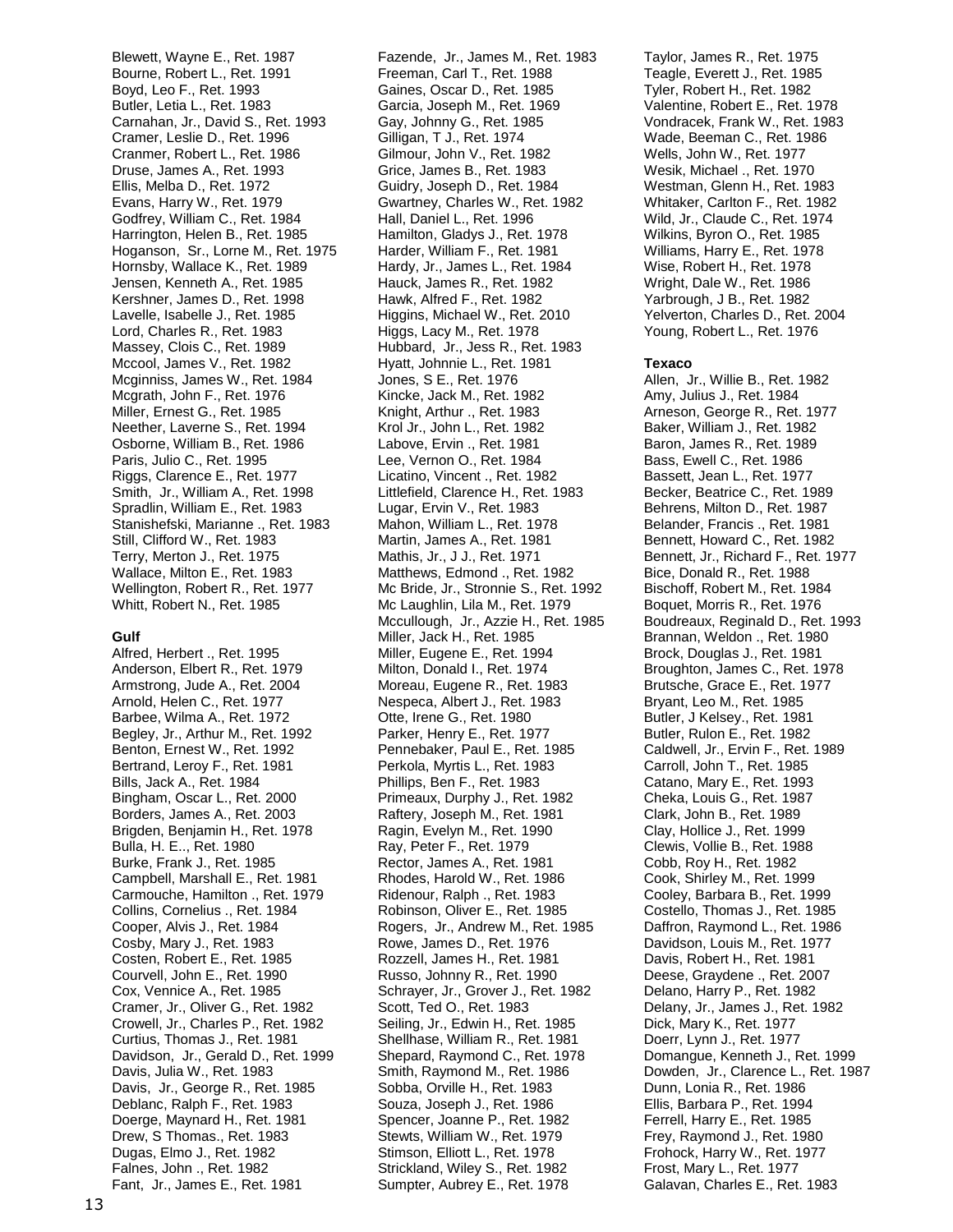Blewett, Wayne E., Ret. 1987 Bourne, Robert L., Ret. 1991 Boyd, Leo F., Ret. 1993 Butler, Letia L., Ret. 1983 Carnahan, Jr., David S., Ret. 1993 Cramer, Leslie D., Ret. 1996 Cranmer, Robert L., Ret. 1986 Druse, James A., Ret. 1993 Ellis, Melba D., Ret. 1972 Evans, Harry W., Ret. 1979 Godfrey, William C., Ret. 1984 Harrington, Helen B., Ret. 1985 Hoganson, Sr., Lorne M., Ret. 1975 Hornsby, Wallace K., Ret. 1989 Jensen, Kenneth A., Ret. 1985 Kershner, James D., Ret. 1998 Lavelle, Isabelle J., Ret. 1985 Lord, Charles R., Ret. 1983 Massey, Clois C., Ret. 1989 Mccool, James V., Ret. 1982 Mcginniss, James W., Ret. 1984 Mcgrath, John F., Ret. 1976 Miller, Ernest G., Ret. 1985 Neether, Laverne S., Ret. 1994 Osborne, William B., Ret. 1986 Paris, Julio C., Ret. 1995 Riggs, Clarence E., Ret. 1977 Smith, Jr., William A., Ret. 1998 Spradlin, William E., Ret. 1983 Stanishefski, Marianne ., Ret. 1983 Still, Clifford W., Ret. 1983 Terry, Merton J., Ret. 1975 Wallace, Milton E., Ret. 1983 Wellington, Robert R., Ret. 1977 Whitt, Robert N., Ret. 1985

#### **Gulf**

Alfred, Herbert ., Ret. 1995 Anderson, Elbert R., Ret. 1979 Armstrong, Jude A., Ret. 2004 Arnold, Helen C., Ret. 1977 Barbee, Wilma A., Ret. 1972 Begley, Jr., Arthur M., Ret. 1992 Benton, Ernest W., Ret. 1992 Bertrand, Leroy F., Ret. 1981 Bills, Jack A., Ret. 1984 Bingham, Oscar L., Ret. 2000 Borders, James A., Ret. 2003 Brigden, Benjamin H., Ret. 1978 Bulla, H. E.., Ret. 1980 Burke, Frank J., Ret. 1985 Campbell, Marshall E., Ret. 1981 Carmouche, Hamilton ., Ret. 1979 Collins, Cornelius ., Ret. 1984 Cooper, Alvis J., Ret. 1984 Cosby, Mary J., Ret. 1983 Costen, Robert E., Ret. 1985 Courvell, John E., Ret. 1990 Cox, Vennice A., Ret. 1985 Cramer, Jr., Oliver G., Ret. 1982 Crowell, Jr., Charles P., Ret. 1982 Curtius, Thomas J., Ret. 1981 Davidson, Jr., Gerald D., Ret. 1999 Davis, Julia W., Ret. 1983 Davis, Jr., George R., Ret. 1985 Deblanc, Ralph F., Ret. 1983 Doerge, Maynard H., Ret. 1981 Drew, S Thomas., Ret. 1983 Dugas, Elmo J., Ret. 1982 Falnes, John ., Ret. 1982 Fant, Jr., James E., Ret. 1981

Fazende, Jr., James M., Ret. 1983 Freeman, Carl T., Ret. 1988 Gaines, Oscar D., Ret. 1985 Garcia, Joseph M., Ret. 1969 Gay, Johnny G., Ret. 1985 Gilligan, T J., Ret. 1974 Gilmour, John V., Ret. 1982 Grice, James B., Ret. 1983 Guidry, Joseph D., Ret. 1984 Gwartney, Charles W., Ret. 1982 Hall, Daniel L., Ret. 1996 Hamilton, Gladys J., Ret. 1978 Harder, William F., Ret. 1981 Hardy, Jr., James L., Ret. 1984 Hauck, James R., Ret. 1982 Hawk, Alfred F., Ret. 1982 Higgins, Michael W., Ret. 2010 Higgs, Lacy M., Ret. 1978 Hubbard, Jr., Jess R., Ret. 1983 Hyatt, Johnnie L., Ret. 1981 Jones, S E., Ret. 1976 Kincke, Jack M., Ret. 1982 Knight, Arthur ., Ret. 1983 Krol Jr., John L., Ret. 1982 Labove, Ervin ., Ret. 1981 Lee, Vernon O., Ret. 1984 Licatino, Vincent ., Ret. 1982 Littlefield, Clarence H., Ret. 1983 Lugar, Ervin V., Ret. 1983 Mahon, William L., Ret. 1978 Martin, James A., Ret. 1981 Mathis, Jr., J J., Ret. 1971 Matthews, Edmond ., Ret. 1982 Mc Bride, Jr., Stronnie S., Ret. 1992 Mc Laughlin, Lila M., Ret. 1979 Mccullough, Jr., Azzie H., Ret. 1985 Miller, Jack H., Ret. 1985 Miller, Eugene E., Ret. 1994 Milton, Donald I., Ret. 1974 Moreau, Eugene R., Ret. 1983 Nespeca, Albert J., Ret. 1983 Otte, Irene G., Ret. 1980 Parker, Henry E., Ret. 1977 Pennebaker, Paul E., Ret. 1985 Perkola, Myrtis L., Ret. 1983 Phillips, Ben F., Ret. 1983 Primeaux, Durphy J., Ret. 1982 Raftery, Joseph M., Ret. 1981 Ragin, Evelyn M., Ret. 1990 Ray, Peter F., Ret. 1979 Rector, James A., Ret. 1981 Rhodes, Harold W., Ret. 1986 Ridenour, Ralph ., Ret. 1983 Robinson, Oliver E., Ret. 1985 Rogers, Jr., Andrew M., Ret. 1985 Rowe, James D., Ret. 1976 Rozzell, James H., Ret. 1981 Russo, Johnny R., Ret. 1990 Schrayer, Jr., Grover J., Ret. 1982 Scott, Ted O., Ret. 1983 Seiling, Jr., Edwin H., Ret. 1985 Shellhase, William R., Ret. 1981 Shepard, Raymond C., Ret. 1978 Smith, Raymond M., Ret. 1986 Sobba, Orville H., Ret. 1983 Souza, Joseph J., Ret. 1986 Spencer, Joanne P., Ret. 1982 Stewts, William W., Ret. 1979 Stimson, Elliott L., Ret. 1978 Strickland, Wiley S., Ret. 1982 Sumpter, Aubrey E., Ret. 1978

Taylor, James R., Ret. 1975 Teagle, Everett J., Ret. 1985 Tyler, Robert H., Ret. 1982 Valentine, Robert E., Ret. 1978 Vondracek, Frank W., Ret. 1983 Wade, Beeman C., Ret. 1986 Wells, John W., Ret. 1977 Wesik, Michael ., Ret. 1970 Westman, Glenn H., Ret. 1983 Whitaker, Carlton F., Ret. 1982 Wild, Jr., Claude C., Ret. 1974 Wilkins, Byron O., Ret. 1985 Williams, Harry E., Ret. 1978 Wise, Robert H., Ret. 1978 Wright, Dale W., Ret. 1986 Yarbrough, J B., Ret. 1982 Yelverton, Charles D., Ret. 2004 Young, Robert L., Ret. 1976

#### **Texaco**

Allen, Jr., Willie B., Ret. 1982 Amy, Julius J., Ret. 1984 Arneson, George R., Ret. 1977 Baker, William J., Ret. 1982 Baron, James R., Ret. 1989 Bass, Ewell C., Ret. 1986 Bassett, Jean L., Ret. 1977 Becker, Beatrice C., Ret. 1989 Behrens, Milton D., Ret. 1987 Belander, Francis ., Ret. 1981 Bennett, Howard C., Ret. 1982 Bennett, Jr., Richard F., Ret. 1977 Bice, Donald R., Ret. 1988 Bischoff, Robert M., Ret. 1984 Boquet, Morris R., Ret. 1976 Boudreaux, Reginald D., Ret. 1993 Brannan, Weldon ., Ret. 1980 Brock, Douglas J., Ret. 1981 Broughton, James C., Ret. 1978 Brutsche, Grace E., Ret. 1977 Bryant, Leo M., Ret. 1985 Butler, J Kelsey., Ret. 1981 Butler, Rulon E., Ret. 1982 Caldwell, Jr., Ervin F., Ret. 1989 Carroll, John T., Ret. 1985 Catano, Mary E., Ret. 1993 Cheka, Louis G., Ret. 1987 Clark, John B., Ret. 1989 Clay, Hollice J., Ret. 1999 Clewis, Vollie B., Ret. 1988 Cobb, Roy H., Ret. 1982 Cook, Shirley M., Ret. 1999 Cooley, Barbara B., Ret. 1999 Costello, Thomas J., Ret. 1985 Daffron, Raymond L., Ret. 1986 Davidson, Louis M., Ret. 1977 Davis, Robert H., Ret. 1981 Deese, Graydene ., Ret. 2007 Delano, Harry P., Ret. 1982 Delany, Jr., James J., Ret. 1982 Dick, Mary K., Ret. 1977 Doerr, Lynn J., Ret. 1977 Domangue, Kenneth J., Ret. 1999 Dowden, Jr., Clarence L., Ret. 1987 Dunn, Lonia R., Ret. 1986 Ellis, Barbara P., Ret. 1994 Ferrell, Harry E., Ret. 1985 Frey, Raymond J., Ret. 1980 Frohock, Harry W., Ret. 1977 Frost, Mary L., Ret. 1977 Galavan, Charles E., Ret. 1983